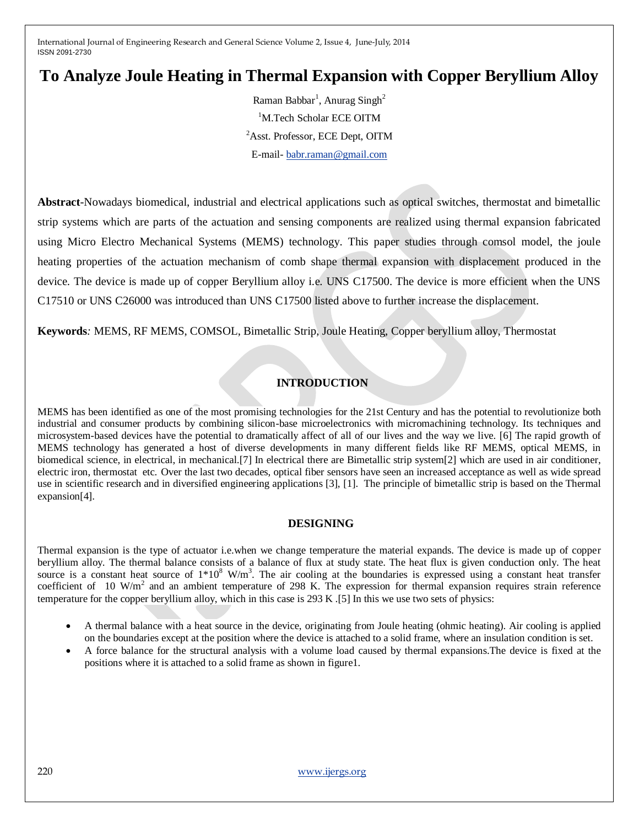# **To Analyze Joule Heating in Thermal Expansion with Copper Beryllium Alloy**

Raman Babbar<sup>1</sup>, Anurag Singh<sup>2</sup> <sup>1</sup>M.Tech Scholar ECE OITM <sup>2</sup>Asst. Professor, ECE Dept, OITM E-mail- [babr.raman@gmail.com](mailto:babr.raman@gmail.com)

**Abstract***-*Nowadays biomedical, industrial and electrical applications such as optical switches, thermostat and bimetallic strip systems which are parts of the actuation and sensing components are realized using thermal expansion fabricated using Micro Electro Mechanical Systems (MEMS) technology. This paper studies through comsol model, the joule heating properties of the actuation mechanism of comb shape thermal expansion with displacement produced in the device. The device is made up of copper Beryllium alloy i.e. UNS C17500. The device is more efficient when the UNS C17510 or UNS C26000 was introduced than UNS C17500 listed above to further increase the displacement.

**Keywords***:* MEMS, RF MEMS, COMSOL, Bimetallic Strip, Joule Heating, Copper beryllium alloy, Thermostat

## **INTRODUCTION**

MEMS has been identified as one of the most promising technologies for the 21st Century and has the potential to revolutionize both industrial and consumer products by combining silicon-base microelectronics with micromachining technology. Its techniques and microsystem-based devices have the potential to dramatically affect of all of our lives and the way we live. [6] The rapid growth of MEMS technology has generated a host of diverse developments in many different fields like RF MEMS, optical MEMS, in biomedical science, in electrical, in mechanical.[7] In electrical there are Bimetallic strip system[2] which are used in air conditioner, electric iron, thermostat etc. Over the last two decades, optical fiber sensors have seen an increased acceptance as well as wide spread use in scientific research and in diversified engineering applications [3], [1]. The principle of bimetallic strip is based on the Thermal expansion[4].

## **DESIGNING**

Thermal expansion is the type of actuator i.e.when we change temperature the material expands. The device is made up of copper beryllium alloy. The thermal balance consists of a balance of flux at study state. The heat flux is given conduction only. The heat source is a constant heat source of  $1*10^8$  W/m<sup>3</sup>. The air cooling at the boundaries is expressed using a constant heat transfer coefficient of  $10 \text{ W/m}^2$  and an ambient temperature of 298 K. The expression for thermal expansion requires strain reference temperature for the copper beryllium alloy, which in this case is 293 K .[5] In this we use two sets of physics:

- A thermal balance with a heat source in the device, originating from Joule heating (ohmic heating). Air cooling is applied on the boundaries except at the position where the device is attached to a solid frame, where an insulation condition is set.
- A force balance for the structural analysis with a volume load caused by thermal expansions.The device is fixed at the positions where it is attached to a solid frame as shown in figure1.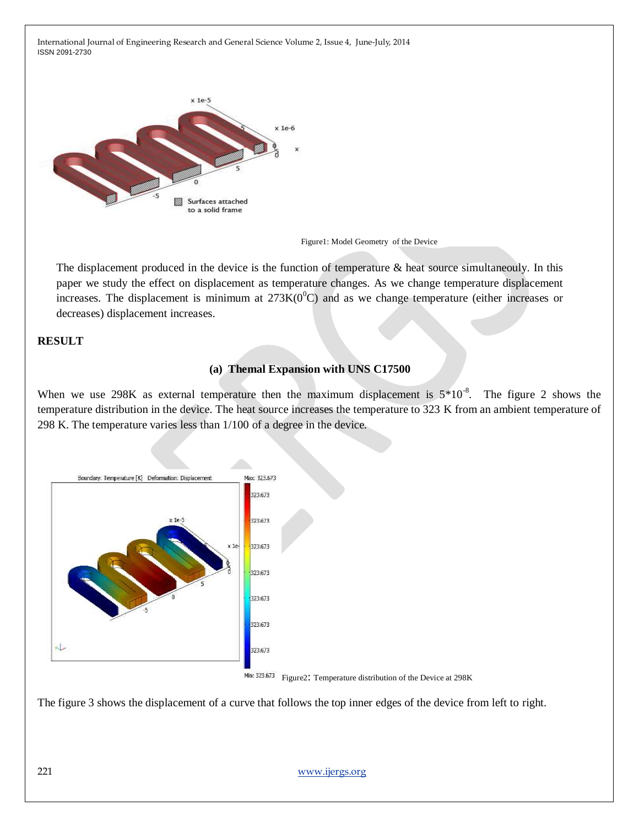

Figure1: Model Geometry of the Device

The displacement produced in the device is the function of temperature & heat source simultaneouly. In this paper we study the effect on displacement as temperature changes. As we change temperature displacement increases. The displacement is minimum at  $273K(0^0C)$  and as we change temperature (either increases or decreases) displacement increases.

## **RESULT**

## **(a) Themal Expansion with UNS C17500**

When we use 298K as external temperature then the maximum displacement is  $5*10<sup>-8</sup>$ . The figure 2 shows the temperature distribution in the device. The heat source increases the temperature to 323 K from an ambient temperature of 298 K. The temperature varies less than 1/100 of a degree in the device.





The figure 3 shows the displacement of a curve that follows the top inner edges of the device from left to right.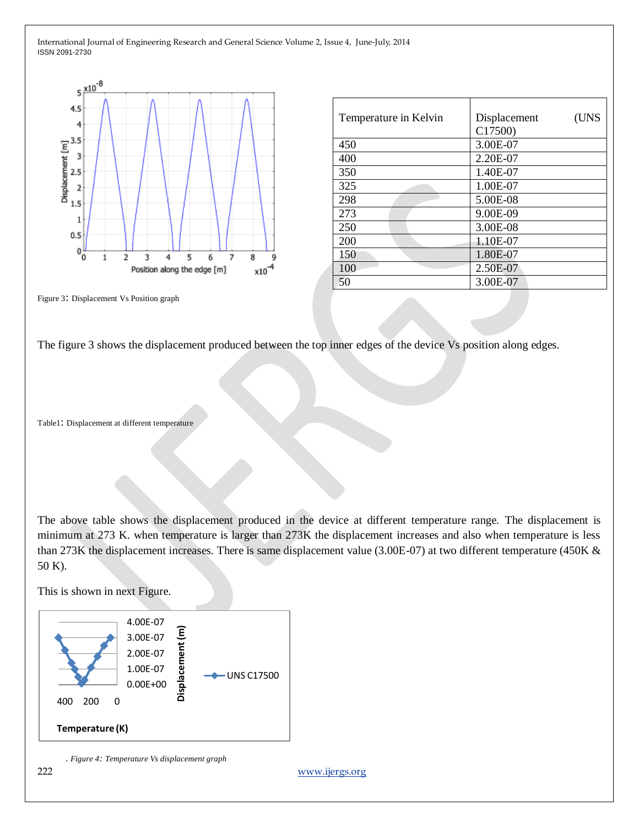

| Temperature in Kelvin | (UNS<br>Displacement<br>C17500 |
|-----------------------|--------------------------------|
| 450                   | 3.00E-07                       |
| 400                   | 2.20E-07                       |
| 350                   | 1.40E-07                       |
| 325                   | 1.00E-07                       |
| 298                   | 5.00E-08                       |
| 273                   | 9.00E-09                       |
| 250                   | 3.00E-08                       |
| 200                   | 1.10E-07                       |
| 150                   | 1.80E-07                       |
| 100                   | 2.50E-07                       |
| 50                    | 3.00E-07                       |

Figure 3: Displacement Vs Position graph

The figure 3 shows the displacement produced between the top inner edges of the device Vs position along edges.

Table1: Displacement at different temperature

The above table shows the displacement produced in the device at different temperature range. The displacement is minimum at 273 K. when temperature is larger than 273K the displacement increases and also when temperature is less than 273K the displacement increases. There is same displacement value (3.00E-07) at two different temperature (450K & 50 K).

This is shown in next Figure.



 *. Figure 4: Temperature Vs displacement graph*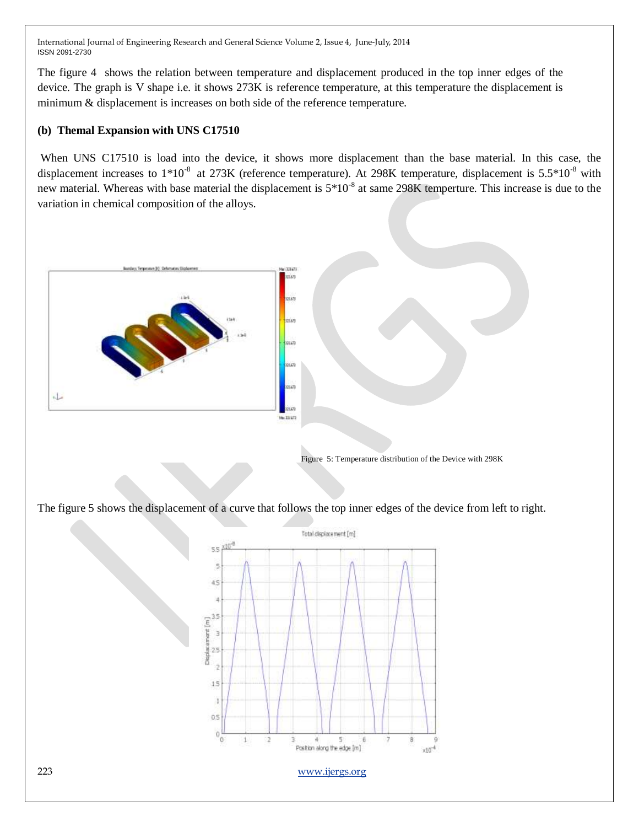The figure 4 shows the relation between temperature and displacement produced in the top inner edges of the device. The graph is V shape i.e. it shows 273K is reference temperature, at this temperature the displacement is minimum & displacement is increases on both side of the reference temperature.

## **(b) Themal Expansion with UNS C17510**

When UNS C17510 is load into the device, it shows more displacement than the base material. In this case, the displacement increases to  $1*10^{-8}$  at 273K (reference temperature). At 298K temperature, displacement is 5.5 $*10^{-8}$  with new material. Whereas with base material the displacement is  $5*10<sup>-8</sup>$  at same 298K temperture. This increase is due to the variation in chemical composition of the alloys.



The figure 5 shows the displacement of a curve that follows the top inner edges of the device from left to right.

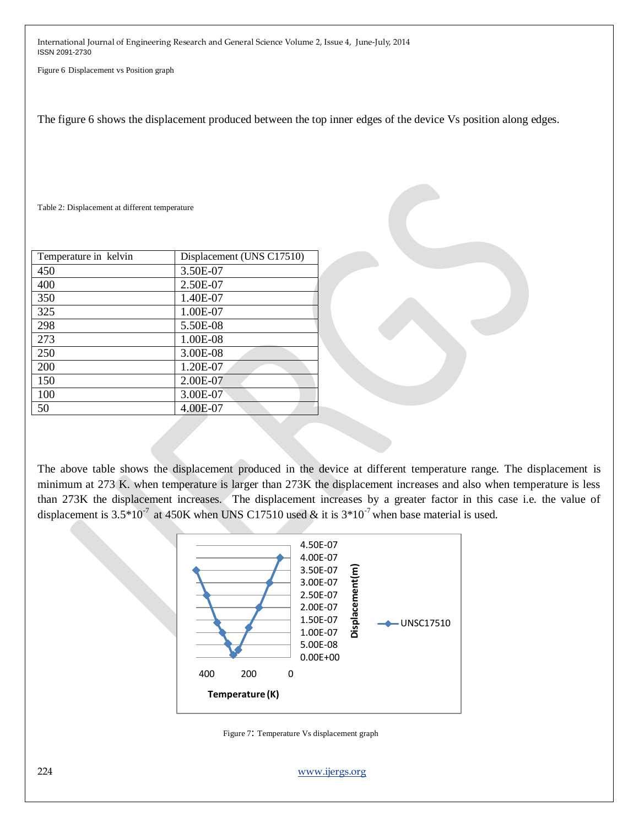Figure 6 Displacement vs Position graph

The figure 6 shows the displacement produced between the top inner edges of the device Vs position along edges.

Table 2: Displacement at different temperature

| Temperature in kelvin | Displacement (UNS C17510) |  |
|-----------------------|---------------------------|--|
| 450                   | 3.50E-07                  |  |
| 400                   | 2.50E-07                  |  |
| 350                   | 1.40E-07                  |  |
| 325                   | 1.00E-07                  |  |
| 298                   | 5.50E-08                  |  |
| 273                   | 1.00E-08                  |  |
| 250                   | 3.00E-08                  |  |
| 200                   | 1.20E-07                  |  |
| 150                   | 2.00E-07                  |  |
| 100                   | 3.00E-07                  |  |
| 50                    | 4.00E-07                  |  |

The above table shows the displacement produced in the device at different temperature range. The displacement is minimum at 273 K. when temperature is larger than 273K the displacement increases and also when temperature is less than 273K the displacement increases. The displacement increases by a greater factor in this case i.e. the value of displacement is  $3.5*10^7$  at 450K when UNS C17510 used & it is  $3*10^7$  when base material is used.



Figure 7: Temperature Vs displacement graph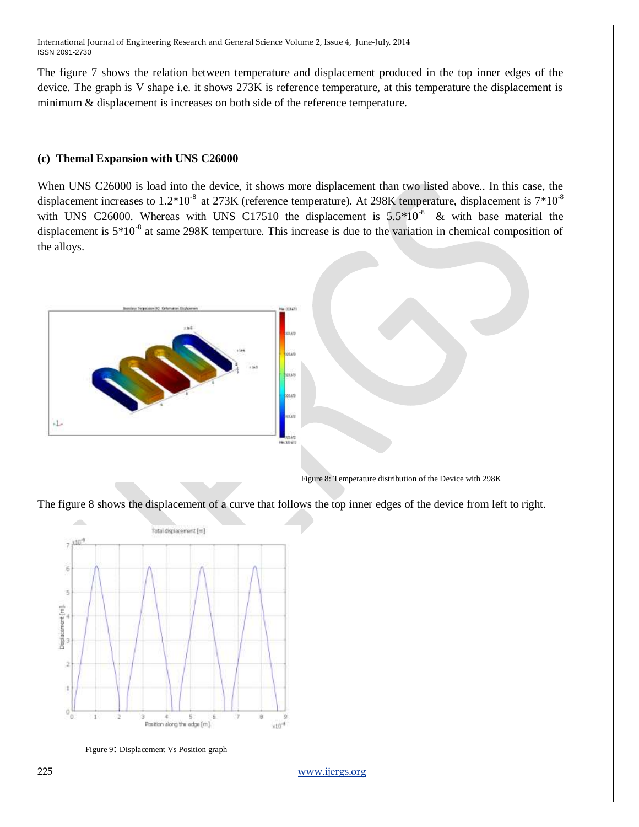The figure 7 shows the relation between temperature and displacement produced in the top inner edges of the device. The graph is V shape i.e. it shows 273K is reference temperature, at this temperature the displacement is minimum & displacement is increases on both side of the reference temperature.

## **(c) Themal Expansion with UNS C26000**

When UNS C26000 is load into the device, it shows more displacement than two listed above.. In this case, the displacement increases to  $1.2*10<sup>-8</sup>$  at 273K (reference temperature). At 298K temperature, displacement is  $7*10<sup>-8</sup>$ with UNS C26000. Whereas with UNS C17510 the displacement is  $5.5*10<sup>-8</sup>$  & with base material the displacement is  $5*10<sup>-8</sup>$  at same 298K temperture. This increase is due to the variation in chemical composition of the alloys.



Figure 8: Temperature distribution of the Device with 298K

The figure 8 shows the displacement of a curve that follows the top inner edges of the device from left to right.



Figure 9: Displacement Vs Position graph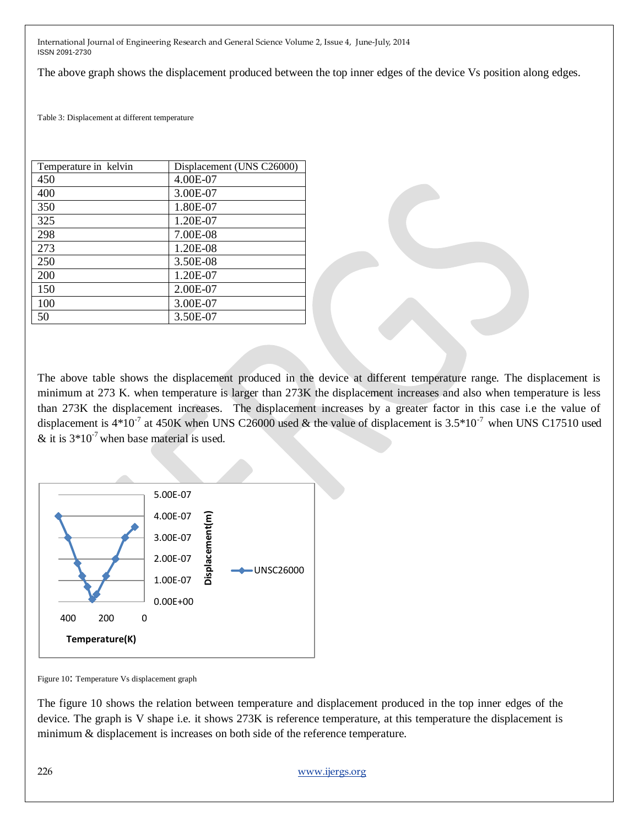The above graph shows the displacement produced between the top inner edges of the device Vs position along edges.

Table 3: Displacement at different temperature

| Temperature in kelvin | Displacement (UNS C26000) |  |
|-----------------------|---------------------------|--|
| 450                   | 4.00E-07                  |  |
| 400                   | 3.00E-07                  |  |
| 350                   | 1.80E-07                  |  |
| 325                   | 1.20E-07                  |  |
| 298                   | 7.00E-08                  |  |
| 273                   | 1.20E-08                  |  |
| 250                   | 3.50E-08                  |  |
| 200                   | 1.20E-07                  |  |
| 150                   | 2.00E-07                  |  |
| 100                   | 3.00E-07                  |  |
| 50                    | 3.50E-07                  |  |

The above table shows the displacement produced in the device at different temperature range. The displacement is minimum at 273 K. when temperature is larger than 273K the displacement increases and also when temperature is less than 273K the displacement increases. The displacement increases by a greater factor in this case i.e the value of displacement is  $4*10^{-7}$  at 450K when UNS C26000 used & the value of displacement is 3.5\*10<sup>-7</sup> when UNS C17510 used & it is  $3*10^{-7}$  when base material is used.



Figure 10: Temperature Vs displacement graph

The figure 10 shows the relation between temperature and displacement produced in the top inner edges of the device. The graph is V shape i.e. it shows 273K is reference temperature, at this temperature the displacement is minimum & displacement is increases on both side of the reference temperature.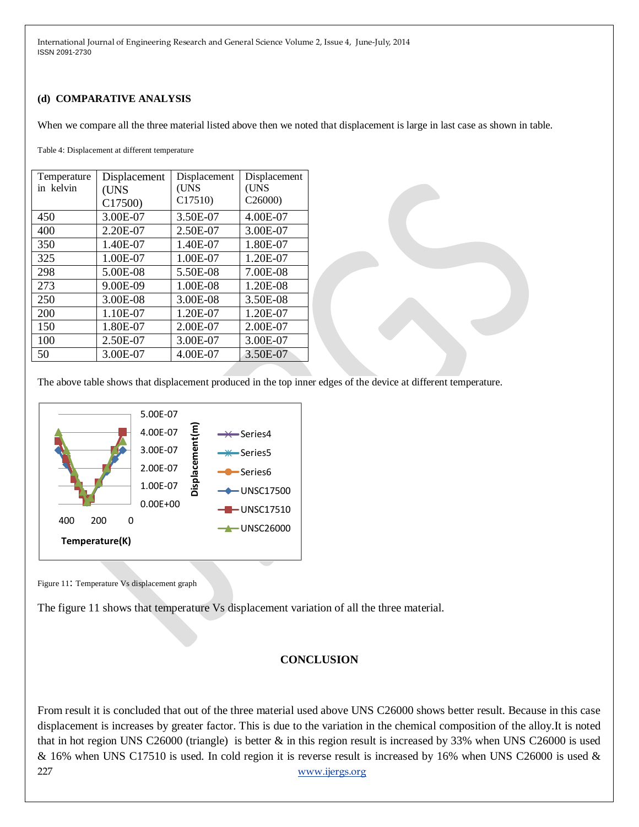#### **(d) COMPARATIVE ANALYSIS**

When we compare all the three material listed above then we noted that displacement is large in last case as shown in table.

Table 4: Displacement at different temperature

| Temperature | Displacement | Displacement | Displacement |
|-------------|--------------|--------------|--------------|
| in kelvin   | (UNS         | (UNS         | (UNS         |
|             | C17500)      | C17510       | C26000       |
| 450         | 3.00E-07     | 3.50E-07     | 4.00E-07     |
| 400         | 2.20E-07     | 2.50E-07     | 3.00E-07     |
| 350         | 1.40E-07     | 1.40E-07     | 1.80E-07     |
| 325         | 1.00E-07     | 1.00E-07     | 1.20E-07     |
| 298         | 5.00E-08     | 5.50E-08     | 7.00E-08     |
| 273         | 9.00E-09     | 1.00E-08     | 1.20E-08     |
| 250         | 3.00E-08     | 3.00E-08     | 3.50E-08     |
| 200         | 1.10E-07     | 1.20E-07     | 1.20E-07     |
| 150         | 1.80E-07     | 2.00E-07     | 2.00E-07     |
| 100         | 2.50E-07     | 3.00E-07     | 3.00E-07     |
| 50          | 3.00E-07     | 4.00E-07     | 3.50E-07     |

The above table shows that displacement produced in the top inner edges of the device at different temperature.



Figure 11: Temperature Vs displacement graph

The figure 11 shows that temperature Vs displacement variation of all the three material.

### **CONCLUSION**

227 [www.ijergs.org](http://www.ijergs.org/) From result it is concluded that out of the three material used above UNS C26000 shows better result. Because in this case displacement is increases by greater factor. This is due to the variation in the chemical composition of the alloy.It is noted that in hot region UNS C26000 (triangle) is better & in this region result is increased by 33% when UNS C26000 is used & 16% when UNS C17510 is used. In cold region it is reverse result is increased by 16% when UNS C26000 is used &